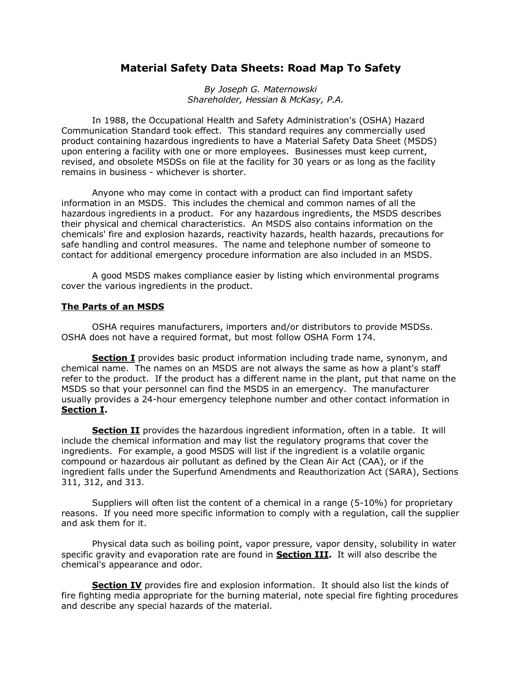## **Material Safety Data Sheets: Road Map To Safety**

*By Joseph G. Maternowski Shareholder, Hessian & McKasy, P.A.* 

In 1988, the Occupational Health and Safety Administration's (OSHA) Hazard Communication Standard took effect. This standard requires any commercially used product containing hazardous ingredients to have a Material Safety Data Sheet (MSDS) upon entering a facility with one or more employees. Businesses must keep current, revised, and obsolete MSDSs on file at the facility for 30 years or as long as the facility remains in business - whichever is shorter.

Anyone who may come in contact with a product can find important safety information in an MSDS. This includes the chemical and common names of all the hazardous ingredients in a product. For any hazardous ingredients, the MSDS describes their physical and chemical characteristics. An MSDS also contains information on the chemicals' fire and explosion hazards, reactivity hazards, health hazards, precautions for safe handling and control measures. The name and telephone number of someone to contact for additional emergency procedure information are also included in an MSDS.

A good MSDS makes compliance easier by listing which environmental programs cover the various ingredients in the product.

## **The Parts of an MSDS**

OSHA requires manufacturers, importers and/or distributors to provide MSDSs. OSHA does not have a required format, but most follow OSHA Form 174.

**Section I** provides basic product information including trade name, synonym, and chemical name. The names on an MSDS are not always the same as how a plant's staff refer to the product. If the product has a different name in the plant, put that name on the MSDS so that your personnel can find the MSDS in an emergency. The manufacturer usually provides a 24-hour emergency telephone number and other contact information in **Section I.** 

**Section II** provides the hazardous ingredient information, often in a table. It will include the chemical information and may list the regulatory programs that cover the ingredients. For example, a good MSDS will list if the ingredient is a volatile organic compound or hazardous air pollutant as defined by the Clean Air Act (CAA), or if the ingredient falls under the Superfund Amendments and Reauthorization Act (SARA), Sections 311, 312, and 313.

Suppliers will often list the content of a chemical in a range (5-10%) for proprietary reasons. If you need more specific information to comply with a regulation, call the supplier and ask them for it.

Physical data such as boiling point, vapor pressure, vapor density, solubility in water specific gravity and evaporation rate are found in **Section III.** It will also describe the chemical's appearance and odor.

**Section IV** provides fire and explosion information. It should also list the kinds of fire fighting media appropriate for the burning material, note special fire fighting procedures and describe any special hazards of the material.